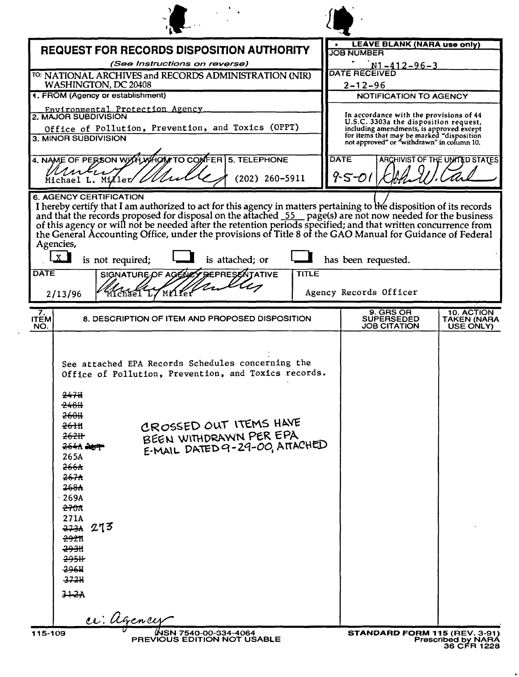|                          |                                                                                                                                                                                                                                                                                                                                                                                                                                                             |                                               |                                                                                                                                                                                                                         | NWML                                                                      |
|--------------------------|-------------------------------------------------------------------------------------------------------------------------------------------------------------------------------------------------------------------------------------------------------------------------------------------------------------------------------------------------------------------------------------------------------------------------------------------------------------|-----------------------------------------------|-------------------------------------------------------------------------------------------------------------------------------------------------------------------------------------------------------------------------|---------------------------------------------------------------------------|
|                          | <b>REQUEST FOR RECORDS DISPOSITION AUTHORITY</b>                                                                                                                                                                                                                                                                                                                                                                                                            | <b>JOB NUMBER</b>                             | <b>LEAVE BLANK (NARA use only)</b>                                                                                                                                                                                      |                                                                           |
|                          | (See Instructions on reverse)<br>TO: NATIONAL ARCHIVES and RECORDS ADMINISTRATION (NIR)                                                                                                                                                                                                                                                                                                                                                                     | <b>DATE RECEIVED</b>                          | <u> N1-412-96-3</u>                                                                                                                                                                                                     |                                                                           |
|                          | WASHINGTON, DC 20408                                                                                                                                                                                                                                                                                                                                                                                                                                        | $2 - 12 - 96$                                 |                                                                                                                                                                                                                         |                                                                           |
|                          | 1. FROM (Agency or establishment)<br>Environmental Protection Agency                                                                                                                                                                                                                                                                                                                                                                                        |                                               | NOTIFICATION TO AGENCY                                                                                                                                                                                                  |                                                                           |
|                          | 2. MAJOR SUBDIVISION<br>Office of Pollution, Prevention, and Toxics (OPPT)<br>3. MINOR SUBDIVISION                                                                                                                                                                                                                                                                                                                                                          |                                               | In accordance with the provisions of 44<br>U.S.C. 3303a the disposition request,<br>including amendments, is approved except<br>for items that may be marked "disposition<br>not approved" or "withdrawn" in column 10. |                                                                           |
|                          | 4. NAME OF PERSON WITH WHOM TO COMFER 5. TELEPHONE                                                                                                                                                                                                                                                                                                                                                                                                          | <b>DATE</b>                                   |                                                                                                                                                                                                                         | ARCHIVIST OF THE UNITED STATES                                            |
|                          | Mulu<br>$(202)$ 260-5911<br>Michael L. Miller                                                                                                                                                                                                                                                                                                                                                                                                               | $9 - 5 - 01$                                  |                                                                                                                                                                                                                         |                                                                           |
| <b>DATE</b>              | I hereby certify that I am authorized to act for this agency in matters pertaining to the disposition of its records and that the records proposed for disposal on the attached 55 page(s) are not now needed for the business<br>Agencies,<br>$\mathbf{x}$<br>is not required;<br>is attached; or<br><b>TITLE</b><br>SIGNATURE OF AGENE<br><b>GREPRESENTATIVE</b><br>MYIYEI<br>2/13/96<br>Míchael L                                                        | has been requested.<br>Agency Records Officer |                                                                                                                                                                                                                         |                                                                           |
| 7.<br><b>ITEM</b><br>NO. | 8. DESCRIPTION OF ITEM AND PROPOSED DISPOSITION                                                                                                                                                                                                                                                                                                                                                                                                             |                                               | 9. GRS OR<br><b>SUPERSEDED</b><br><b>JOB CITATION</b>                                                                                                                                                                   | 10. ACTION<br><b>TAKEN (NARA</b><br>USE ONLY)                             |
|                          | See attached EPA Records Schedules concerning the<br>Office of Pollution, Prevention, and Toxics records.<br>247H<br>248H<br>260H<br>CROSSED OUT ITEMS HAVE<br><del>2611</del> 1<br>BEEN WITHDRAWN PER EPA<br>262H<br>E-MAIL DATED 9-29-00, ATTACHED<br>264A 264<br>265A<br>266 <sub>A</sub><br>267 <sub>A</sub><br>268A<br>269A<br><del>270A</del><br>271A<br><del>273A</del> 273<br><del>292</del> 11<br><del>29311</del><br>295H<br>296H<br>372H<br>342A |                                               |                                                                                                                                                                                                                         |                                                                           |
|                          | ce: Agency                                                                                                                                                                                                                                                                                                                                                                                                                                                  |                                               |                                                                                                                                                                                                                         |                                                                           |
| 115-109                  | WSN 7540-00-334-4064<br>PREVIOUS EDITION NOT USABLE                                                                                                                                                                                                                                                                                                                                                                                                         |                                               |                                                                                                                                                                                                                         | STANDARD FORM 115 (REV. 3-91)<br><b>Prescribed by NARA</b><br>36 CFR 1228 |

 $\epsilon$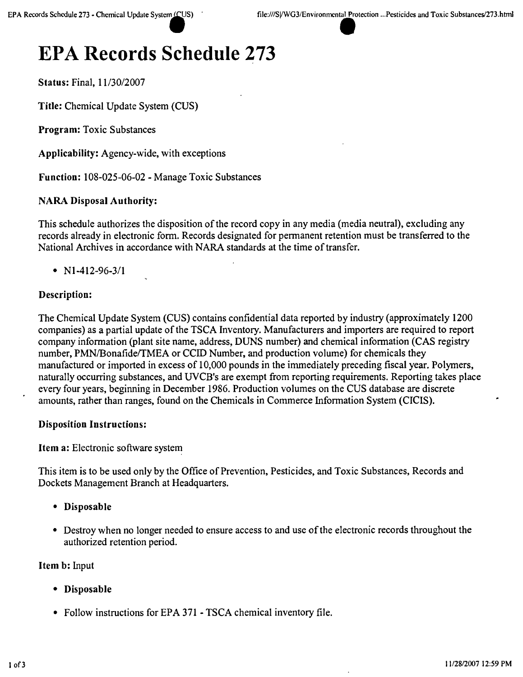# **EPA Records Schedule 273**

Status: Final, 11/30/2007

Title: Chemical Update System (CUS)

Program: Toxic Substances

Applicability: Agency-wide, with exceptions

Function: 108-025-06-02 - Manage Toxic Substances

# NARA Disposal Authority:

This schedule authorizes the disposition of the record copy in any media (media neutral), excluding any records already in electronic form. Records designated for permanent retention must be transferred to the National Archives in accordance with NARA standards at the time of transfer.

•  $N1-412-96-3/1$ 

# Description:

The Chemical Update System (CUS) contains confidential data reported by industry (approximately 1200 companies) as a partial update of the TSCA Inventory. Manufacturers and importers are required to report company information (plant site name, address, DUNS number) and chemical information (CAS registry number, PMN/Bonafide/TMEA or CCID Number, and production volume) for chemicals they manufactured or imported in excess of 10,000 pounds in the immediately preceding fiscal year. Polymers, naturally occurring substances, and UVCB's are exempt from reporting requirements. Reporting takes place every four years, beginning in December 1986. Production volumes on the CUS database are discrete amounts, rather than ranges, found on the Chemicals in Commerce Information System (CICIS).

# Disposition Instructions:

Item a: Electronic software system

This item is to be used only by the Office of Prevention, Pesticides, and Toxic Substances, Records and Dockets Management Branch at Headquarters.

- • Disposable
- Destroy when no longer needed to ensure access to and use of the electronic records throughout the authorized retention period.

Item b: Input

- • Disposable
- Follow instructions for EPA 371 TSCA chemical inventory file.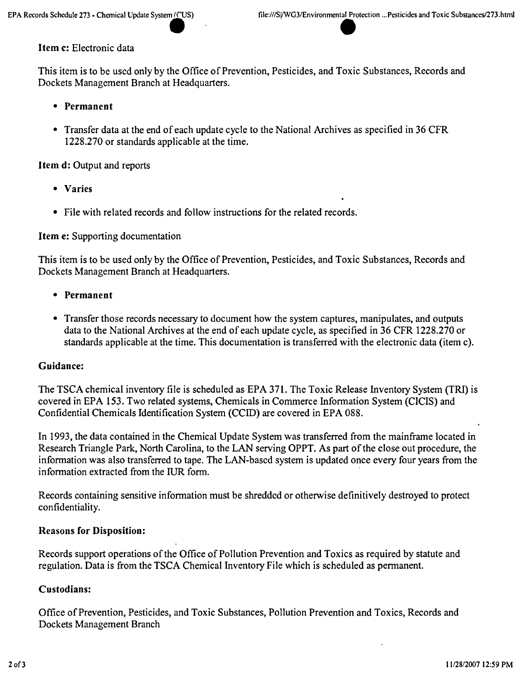# Item c: Electronic data

This item is to be used only by the Office of Prevention, Pesticides, and Toxic Substances, Records and Dockets Management Branch at Headquarters.

- • Permanent
- Transfer data at the end of each update cycle to the National Archives as specified in 36 CFR 1228.270 or standards applicable at the time.

Item d: Output and reports

- • Varies
- File with related records and follow instructions for the related records.

# Item e: Supporting documentation

This item is to be used only by the Office of Prevention, Pesticides, and Toxic Substances, Records and Dockets Management Branch at Headquarters.

- • Permanent
- Transfer those records necessary to document how the system captures, manipulates, and outputs data to the National Archives at the end of each update cycle, as specified in 36 CFR 1228.270 or standards applicable at the time. This documentation is transferred with the electronic data (item c).

# Guidance:

The TSCA chemical inventory file is scheduled as EPA 371. The Toxic Release Inventory System (TRI) is covered in EPA 153. Two related systems, Chemicals in Commerce Information System (CICIS) and Confidential Chemicals Identification System (CCID) are covered in EPA 088.

In 1993, the data contained in the Chemical Update System was transferred from the mainframe located in Research Triangle Park, North Carolina, to the LAN serving OPPT. As part of the close out procedure, the information was also transferred to tape. The LAN-based system is updated once every four years from the information extracted from the IUR form. .

Records containing sensitive information must be shredded or otherwise definitively destroyed to protect confidentiality.

# Reasons for Disposition:

Records support operations of the Office of Pollution Prevention and Toxics as required by statute and regulation. Data is from the TSCA Chemical Inventory File which is scheduled as permanent.

# Custodians:

Office of Prevention, Pesticides, and Toxic Substances, Pollution Prevention and Toxics, Records and Dockets Management Branch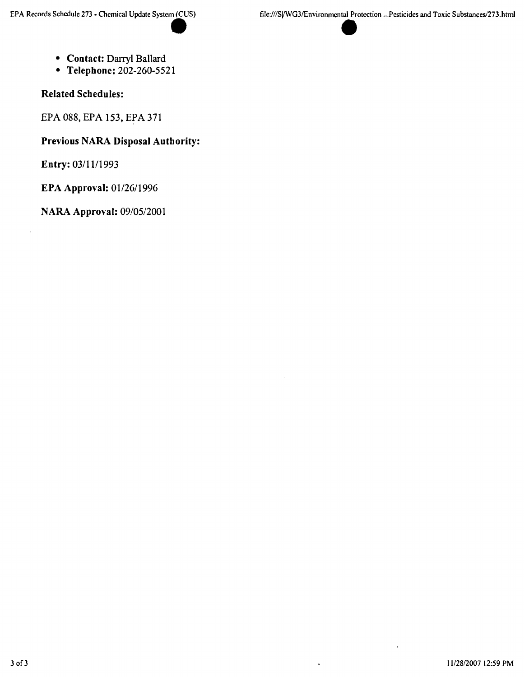- **• Contact:** Darryl Ballard
- **• Telephone:** 202·260-5521

**Related Schedules:**

EPA 088, EPA 153, EPA 371

**Previous NARA Disposal Authority:**

**Entry:** *03/1111993*

**EPA Approval:** *01/26/1996*

**NARA Approval:** *0910512001*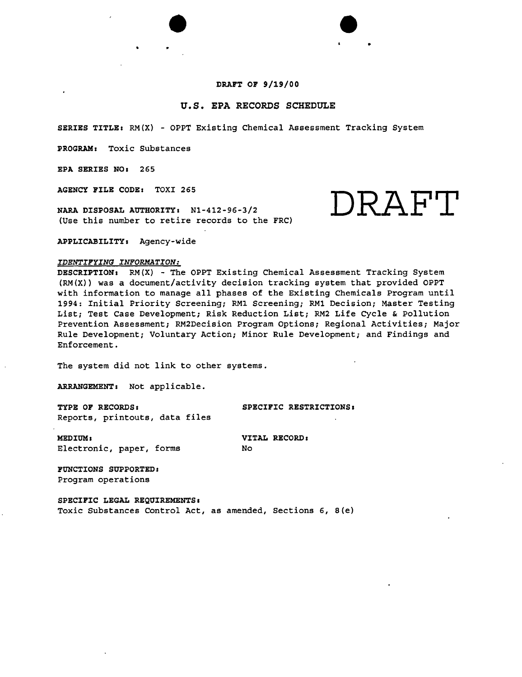# DRAFT OF 9/19/00

# u.s. EPA RECORDS SCHEDULE

SERIES TITLE: RM(X) - OPPT Existing Chemical Assessment Tracking System

PROGRAM: Toxic Substances

EPA SERIES NO: 265

AGENCY FILE CODE: TOXI 265

NARA DISPOSAL AUTHORITY: Nl-412-96-3/2 (Use this number to retire records to the FRC)

 $\bullet$ 

APPLICABILITY: Agency-wide

#### *IDENTIFYING INFORMATION:*

DESCRIPTION: RM(X) - The OPPT Existing Chemical Assessment Tracking System (RM(X)) was a document/activity decision tracking system that provided OPPT with information to manage all phases of the Existing Chemicals Program until 1994: Initial Priority Screening; RMl Screening; RMl Decision; Master Testing List; Test Case Development; Risk Reduction List; RM2 Life Cycle & pollution Prevention Assessment; RM2Decision Program Options; Regional Activities; Major Rule Development; Voluntary Action; Minor Rule Development; and Findings and Enforcement.

The system did not link to other systems.

ARRANGEMENT: Not applicable.

TYPE OF RECORDS: SPECIFIC RESTRICTIONS: Reports, printouts, data files

MEDIUM: VITAL RECORD: Electronic, paper, forms

No

FUNCTIONS SUPPORTED: Program operations

SPECIFIC LEGAL REQUIREMENTS: Toxic Substances Control Act, as amended, Sections 6, 8(e)

DRAFT

 $\bullet$  .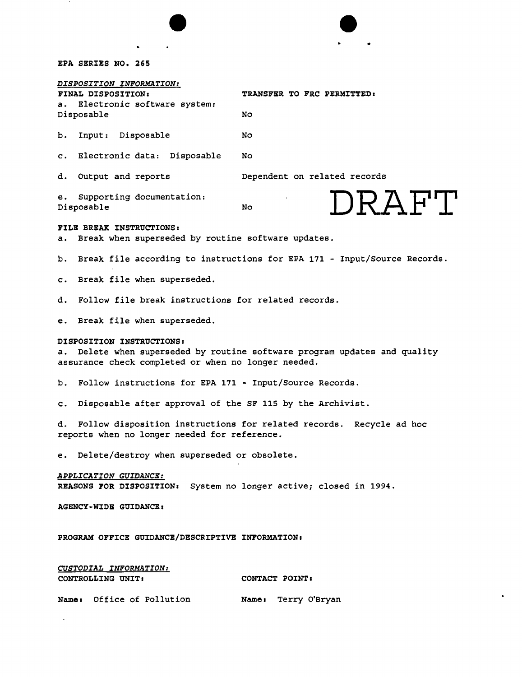|                                                                                                                                                                  |                                                                          | NWML |  |  |
|------------------------------------------------------------------------------------------------------------------------------------------------------------------|--------------------------------------------------------------------------|------|--|--|
|                                                                                                                                                                  |                                                                          |      |  |  |
|                                                                                                                                                                  |                                                                          |      |  |  |
| EPA SERIES NO. 265                                                                                                                                               |                                                                          |      |  |  |
| DISPOSITION INFORMATION:<br>FINAL DISPOSITION:                                                                                                                   | TRANSFER TO FRC PERMITTED:                                               |      |  |  |
| Electronic software system:<br>а.<br>Disposable                                                                                                                  | No                                                                       |      |  |  |
| Input: Disposable<br>b.                                                                                                                                          | No                                                                       |      |  |  |
| c. Electronic data: Disposable                                                                                                                                   | No.                                                                      |      |  |  |
| Output and reports<br>d.                                                                                                                                         | Dependent on related records                                             |      |  |  |
| Supporting documentation:<br>е.<br>Disposable                                                                                                                    | DRAFT<br>No.                                                             |      |  |  |
| FILE BREAK INSTRUCTIONS:<br>Break when superseded by routine software updates.<br>а.                                                                             |                                                                          |      |  |  |
| b.                                                                                                                                                               | Break file according to instructions for EPA 171 - Input/Source Records. |      |  |  |
| Break file when superseded.<br>$\mathbf{c}$ .                                                                                                                    |                                                                          |      |  |  |
| Follow file break instructions for related records.<br>d.                                                                                                        |                                                                          |      |  |  |
| Break file when superseded.<br>е.                                                                                                                                |                                                                          |      |  |  |
| DISPOSITION INSTRUCTIONS:<br>Delete when superseded by routine software program updates and quality<br>а.<br>assurance check completed or when no longer needed. |                                                                          |      |  |  |
| b. Follow instructions for EPA 171 - Input/Source Records.                                                                                                       |                                                                          |      |  |  |
| Disposable after approval of the SF 115 by the Archivist.<br>$\mathbf{c}$ .                                                                                      |                                                                          |      |  |  |
| reports when no longer needed for reference.                                                                                                                     | d. Follow disposition instructions for related records. Recycle ad hoc   |      |  |  |
| Delete/destroy when superseded or obsolete.<br>e.                                                                                                                |                                                                          |      |  |  |
| APPLICATION GUIDANCE:<br>REASONS FOR DISPOSITION: System no longer active; closed in 1994.                                                                       |                                                                          |      |  |  |
| <b>AGENCY-WIDE GUIDANCE:</b>                                                                                                                                     |                                                                          |      |  |  |
| PROGRAM OFFICE GUIDANCE/DESCRIPTIVE INFORMATION:                                                                                                                 |                                                                          |      |  |  |
| CUSTODIAL INFORMATION:<br>CONTROLLING UNIT:                                                                                                                      | CONTACT POINT:                                                           |      |  |  |
| Name: Office of Pollution                                                                                                                                        | Name: Terry O'Bryan                                                      |      |  |  |
|                                                                                                                                                                  |                                                                          |      |  |  |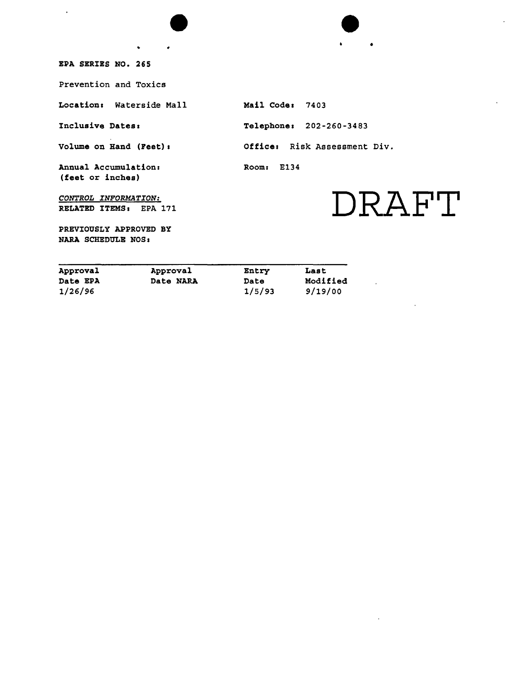$\bullet$ EPA SERIES NO. 265

 $\hat{\textbf{r}}$ 

Prevention and Toxics

Location: Waterside Mall

•

Inclusive Dates:

Volume on Hand (Feet).

Annual Accumulation: (feet or inches)

*CONTROL INFORMATION:* RELATED ITEMSI EPA 171

PREVIOUSLY APPROVED BY NARA SCHEDULE NOS *I*

Mail Code: 7403 Telephone: 202-260-3483 Office. Risk Assessment Div. Room: E134

 $\bullet$ 

# **DRAFT**

 $\cdot$ 

•

| Approval        | Approval  | Entry  | Last     |
|-----------------|-----------|--------|----------|
| <b>Date EPA</b> | Date NARA | Date   | Modified |
| 1/26/96         |           | 1/5/93 | 9/19/00  |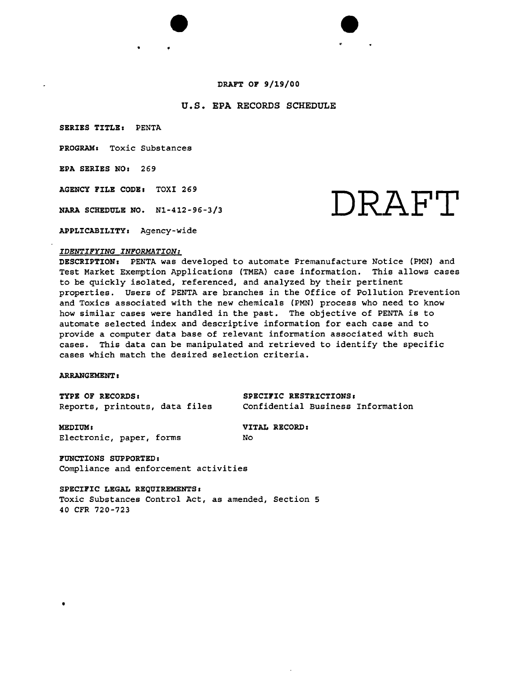# DRAFT OF 9/19/00

 $\bullet$ 

# u.s. EPA RECORDS SCHEDULE

SERIES TITLE. PENTA

PROGRAM. Toxic Substances

EPA SERIES NO. 269

AGENCY FILE CODE. TOXI 269

NARA SCHEDULE NO. N1-412-96-3/3  $\mathbb{R} \mathbb{R} \mathbb{R} \mathbb{H}$ 

•

APPLICABILITY, Agency-wide

# *IDENTIFYING INFORMATION:*

DESCRIPTION. PENTA was developed to automate Premanufacture Notice (PMN) and Test Market Exemption Applications (TMEA) case information. This allows cases to be quickly isolated, referenced, and analyzed by their pertinent properties. Users of PENTA are branches in the Office of Pollution Prevention and Toxics associated with the new chemicals (PMN) process who need to know how similar cases were handled in the past. The objective of PENTA is to automate selected index and descriptive information for each case and to provide a computer data base of relevant information associated with such cases. This data can be manipulated and retrieved to identify the specific cases which match the desired selection criteria.

#### ARRANGEMENT :

•

TYPE OF RECORDS: SPECIFIC RESTRICTIONS Reports, printouts, data files

Confidential Business Information

MEDIUM: VITAL RECORD: Electronic, paper, forms

No

FUNCTIONS SUPPORTED. Compliance and enforcement activities

SPECIFIC LEGAL REQUIREMENTS, Toxic Substances Control Act, as amended, Section 5 40 CFR 720-723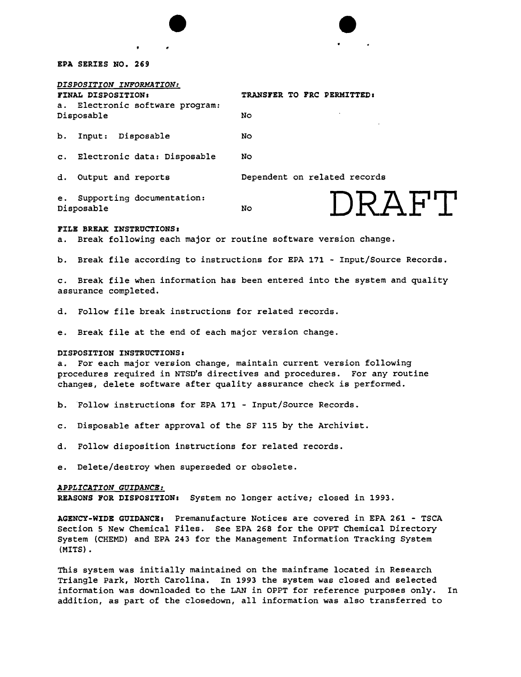### EPA SERIES NO. 269

Disposable

| DISPOSITION INFORMATION:        |  |  |
|---------------------------------|--|--|
| FINAL DISPOSITION:              |  |  |
| a. Electronic software program: |  |  |

TRANSFER TO FRC PERMITTED:

|  | b. Input: Disposable | No |
|--|----------------------|----|

c. Electronic data: Disposable

**No** 

**No** 

 $\bullet$ 

d. Output and reports Dependent on related records

**DRAFT**

e. Supporting documentation: Disposable No

#### FILE BREAK INSTRUCTIONS:

a. Break following each major or routine software version change.

b. Break file according to instructions for EPA 171 - Input/Source Records.

c. Break file when information has been entered into the system and quality assurance completed.

d. Follow file break instructions for related records.

e. Break file at the end of each major version change.

#### DISPOSITION INSTRUCTIONS:

a. For each major version change, maintain current version following procedures required in NTSD's directives and procedures. For any routine changes, delete software after quality assurance check is performed.

- b. 'Follow instructions for EPA 171 Input/Source Records.
- c. Disposable after approval of the SF 115 by the Archivist.
- d. Follow disposition instructions for related records.
- e. Delete/destroy when superseded or obsolete.

#### *APPLICATION GUIDANCB:*

REASONS FOR DISPOSITION: System no longer active; closed in 1993.

AGENCY-WIDE GUIDANCEs Premanufacture Notices are covered in EPA 261 - TSCA Section 5 New Chemical Files. See EPA 268 for the OPPT Chemical Directory System (CHEMD) and EPA 243 for the Management Information Tracking System (MITS) •

This system was initially maintained on the mainframe located in Research Triangle Park, North Carolina. In 1993 the system was closed and selected information was downloaded to the LAN in OPPT for reference purposes only. In addition, as part of the closedown, all information was also transferred to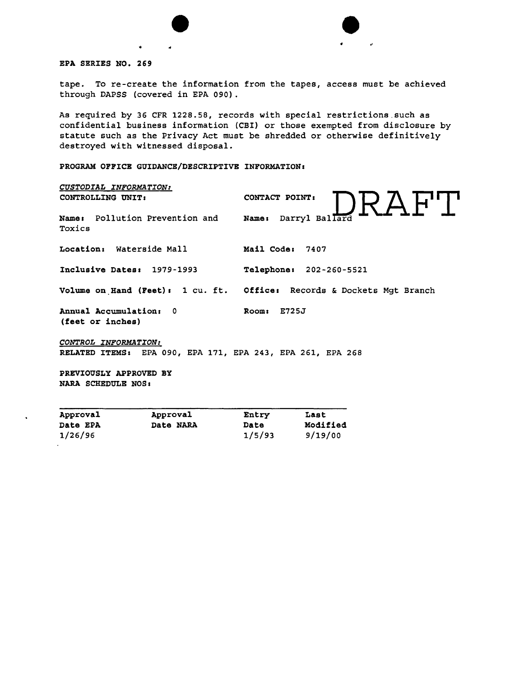

EPA SERIES NO. 269

tape. To re-create the information from the tapes, access must be achieved through DAPSS (covered in EPA 090) .

 $\bullet$ 

.'

As required by 36 CFR 1228.58, records with special restrictions.such as confidential business information (CBI) or those exempted from disclosure by statute such as the Privacy Act must be shredded or otherwise definitively destroyed with witnessed disposal.

PROGRAM OFFICE GUIDANCE/DESCRIPTIVE INFORMATION:

| CUSTODIAL INFORMATION:<br>CONTROLLING UNIT:                                        | CONTACT POINT:<br>DRAF"L'                                             |
|------------------------------------------------------------------------------------|-----------------------------------------------------------------------|
| Name: Pollution Prevention and<br>Toxics                                           | Name: Darryl Ballard                                                  |
| Location: Waterside Mall                                                           | Mail Code: 7407                                                       |
| Inclusive Dates: 1979-1993                                                         | Telephone: 202-260-5521                                               |
|                                                                                    | Volume on Hand (Feet): 1 cu. ft. Office: Records & Dockets Mgt Branch |
| Annual Accumulation: 0<br>(feet or inches)                                         | Room: E725J                                                           |
| CONTROL INFORMATION:<br>RELATED ITEMS: EPA 090, EPA 171, EPA 243, EPA 261, EPA 268 |                                                                       |
| PREVIOUSLY APPROVED BY<br>NARA SCHEDULE NOS:                                       |                                                                       |

| _____<br>Approval | Approval  | Entry  | Last     |
|-------------------|-----------|--------|----------|
| <b>Date EPA</b>   | Date NARA | Date   | Modified |
| 1/26/96           |           | 1/5/93 | 9/19/00  |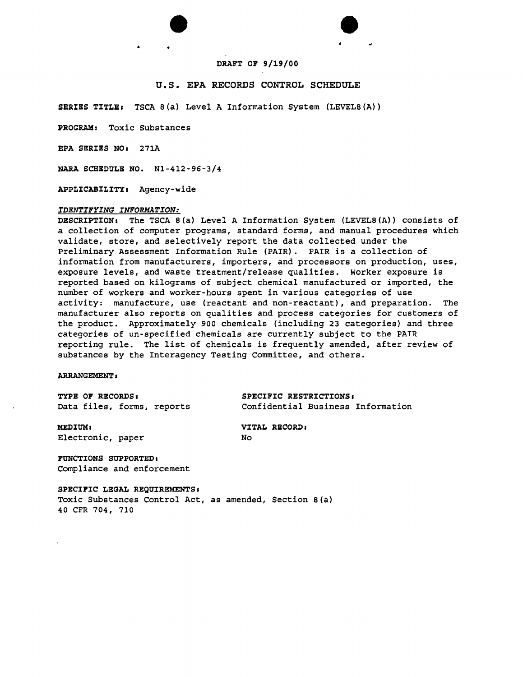# $\bullet$ **DRAFT OF 9/19/00**

# **u.s. EPA RECORDS CONTROL SCHEDULE**

**SERIES TITLE:** TSCA 8(a) Level A Information System (LEVEL8(A))

**PROGRAM.** Toxic Substances

**EPA SERIES NO.** 271A

**NARA SCHEDULE NO.** Nl-412-96-3/4

• •

**APPLICABILITY.** Agency-wide

#### *IDENTIFYING INFORMATION:*

DESCRIPTION: The TSCA 8(a) Level A Information System (LEVEL8(A)) consists of a collection of computer programs, standard forms, and manual procedures which validate, store, and selectively report the data collected under the Preliminary Assessment Information Rule (PAIR). PAIR is a collection of information from manufacturers, importers, and processors on production, uses, exposure levels, and waste treatment/release qualities. Worker exposure is reported based on kilograms of subject chemical manufactured or imported, the number of workers and worker-hours spent in various categories of use activity: manufacture, use (reactant and non-reactant), and preparation. The manufacturer also reports on qualities and process categories for customers of the product. Approximately 900 chemicals (including 23 categories) and three categories of un-specified chemicals are currently subject to the PAIR reporting rule. The list of chemicals is frequently amended, after review of substances by the Interagency Testing Committee, and others.

#### **ARRANGEMENT •**

**TYPE OF RECORDS: SPECIFIC RESTRICTIONS.**

Data files, forms, reports Confidential Business Information

**MEDIUM: VITAL RECORD.** Electronic, paper No

**FUNCTIONS SUPPORTED.** Compliance and enforcement

**SPECIFIC LEGAL REQUIREMENTS.** Toxic Substances Control Act, as amended, Section 8(a) 40 CFR 704, 710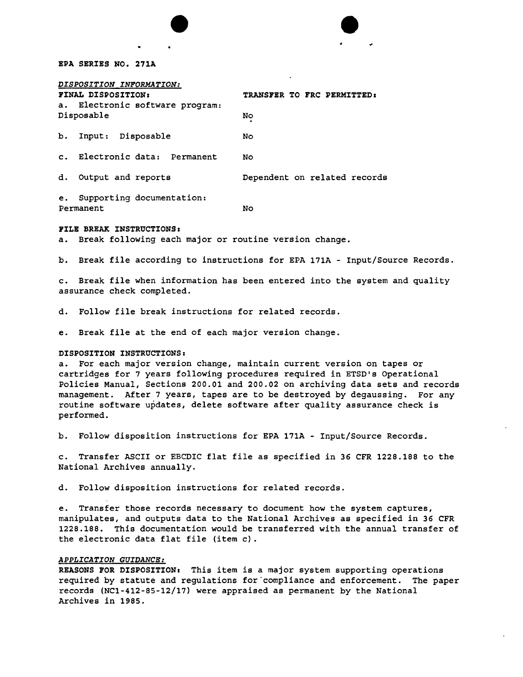# EPA SERIES NO. 271A

| DISPOSITION INFORMATION:                                 |                                  |  |  |
|----------------------------------------------------------|----------------------------------|--|--|
| FINAL DISPOSITION:                                       | TRANSFER TO FRC PERMITTED:<br>No |  |  |
| a. Electronic software program:<br>Disposable            |                                  |  |  |
| b. Input: Disposable                                     | No                               |  |  |
| c. Electronic data: Permanent                            | No                               |  |  |
| d. Output and reports                                    | Dependent on related records     |  |  |
| Supporting documentation:<br>e <sub>1</sub><br>Permanent | No                               |  |  |

•

### FILE BREAK INSTRUCTIONS *<sup>a</sup>*

a. Break following each major or routine version change.

b. Break file according to instructions for EPA 171A - Input/Source Records.

 $\bullet$ 

c. Break file when information has been entered into the system and quality assurance check completed.

d. Follow file break instructions for related records.

e. Break file at the end of each major version change.

# DISPOSITION INSTRUCTIONS:

a. For each major version change, maintain current version on tapes or cartridges for 7 years following procedures required in ETSD's Operational Policies Manual, Sections 200.01 and 200.02 on archiving data sets and records management. After 7 years, tapes are to be destroyed by degaussing. For any routine software updates, delete software after quality assurance check is performed.

b. Follow disposition instructions for EPA 171A - Input/Source Records.

c. Transfer ASCII or EBCDIC flat file as specified in 36 CFR 1228.188 to the National Archives annually.

d. Follow disposition instructions for related records.

e. Transfer those records necessary to document how the system captures, manipulates, and outputs data to the National Archives as specified in 36 CFR 1228.188. This documentation would be transferred with the annual transfer of the electronic data flat file (item c) .

### *APPLICATION GUIDANCE:*

REASONS FOR DISPOSITION: This item is a major system supporting operations required by statute and regulations for "compliance and enforcement. The paper records (NCl-412-85-12/17) were appraised as permanent by the National Archives in 1985.